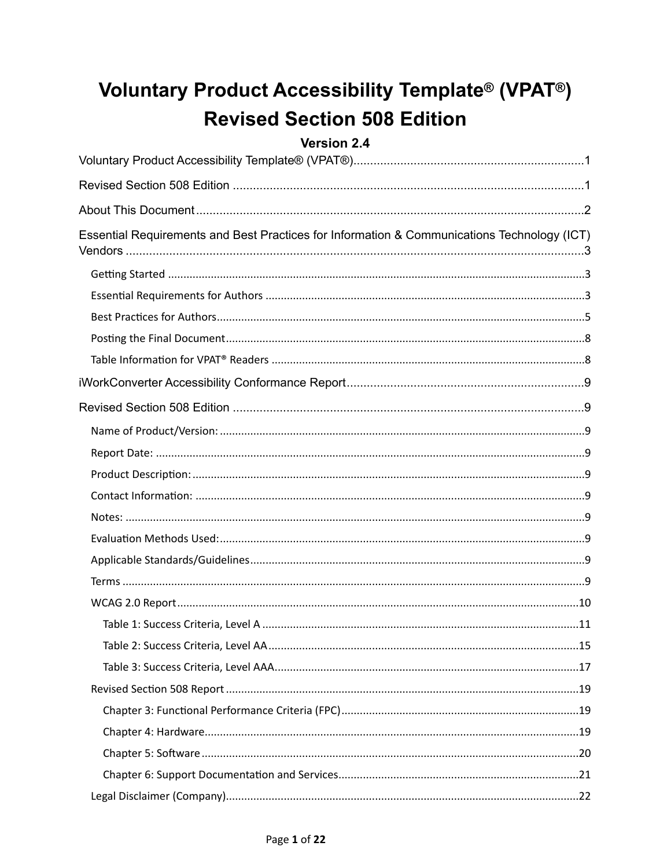## <span id="page-0-0"></span>**Voluntary Product Accessibility Template® (VPAT®) Revised Section 508 Edition**

#### <span id="page-0-1"></span>Version 2.4

| Essential Requirements and Best Practices for Information & Communications Technology (ICT) |
|---------------------------------------------------------------------------------------------|
|                                                                                             |
|                                                                                             |
|                                                                                             |
|                                                                                             |
|                                                                                             |
|                                                                                             |
|                                                                                             |
|                                                                                             |
|                                                                                             |
|                                                                                             |
|                                                                                             |
|                                                                                             |
|                                                                                             |
|                                                                                             |
|                                                                                             |
|                                                                                             |
|                                                                                             |
|                                                                                             |
|                                                                                             |
|                                                                                             |
|                                                                                             |
|                                                                                             |
|                                                                                             |
|                                                                                             |
|                                                                                             |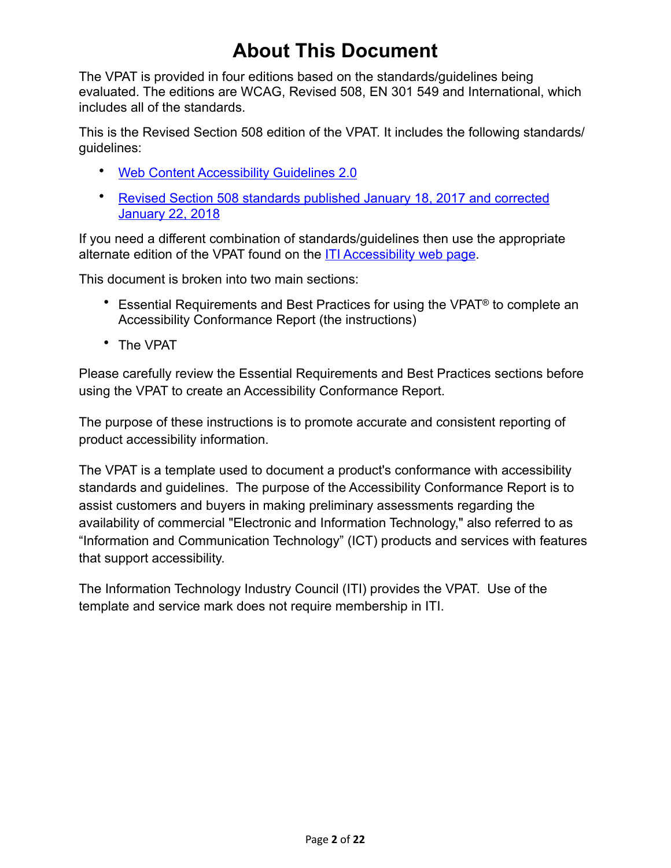## <span id="page-1-0"></span>**About This Document**

The VPAT is provided in four editions based on the standards/guidelines being evaluated. The editions are WCAG, Revised 508, EN 301 549 and International, which includes all of the standards.

This is the Revised Section 508 edition of the VPAT. It includes the following standards/ guidelines:

- [Web Content Accessibility Guidelines 2.0](http://www.w3.org/TR/2008/REC-WCAG20-20081211)
- [Revised Section 508 standards published January 18, 2017 and corrected](https://www.access-board.gov/guidelines-and-standards/communications-and-it/about-the-ict-refresh/final-rule/text-of-the-standards-and-guidelines)  **[January 22, 2018](https://www.access-board.gov/guidelines-and-standards/communications-and-it/about-the-ict-refresh/final-rule/text-of-the-standards-and-guidelines)**

If you need a different combination of standards/guidelines then use the appropriate alternate edition of the VPAT found on the [ITI Accessibility web page](https://www.itic.org/policy/accessibility/vpat).

This document is broken into two main sections:

- Essential Requirements and Best Practices for using the VPAT® to complete an Accessibility Conformance Report (the instructions)
- The VPAT

Please carefully review the Essential Requirements and Best Practices sections before using the VPAT to create an Accessibility Conformance Report.

The purpose of these instructions is to promote accurate and consistent reporting of product accessibility information.

The VPAT is a template used to document a product's conformance with accessibility standards and guidelines. The purpose of the Accessibility Conformance Report is to assist customers and buyers in making preliminary assessments regarding the availability of commercial "Electronic and Information Technology," also referred to as "Information and Communication Technology" (ICT) products and services with features that support accessibility.

The Information Technology Industry Council (ITI) provides the VPAT. Use of the template and service mark does not require membership in ITI.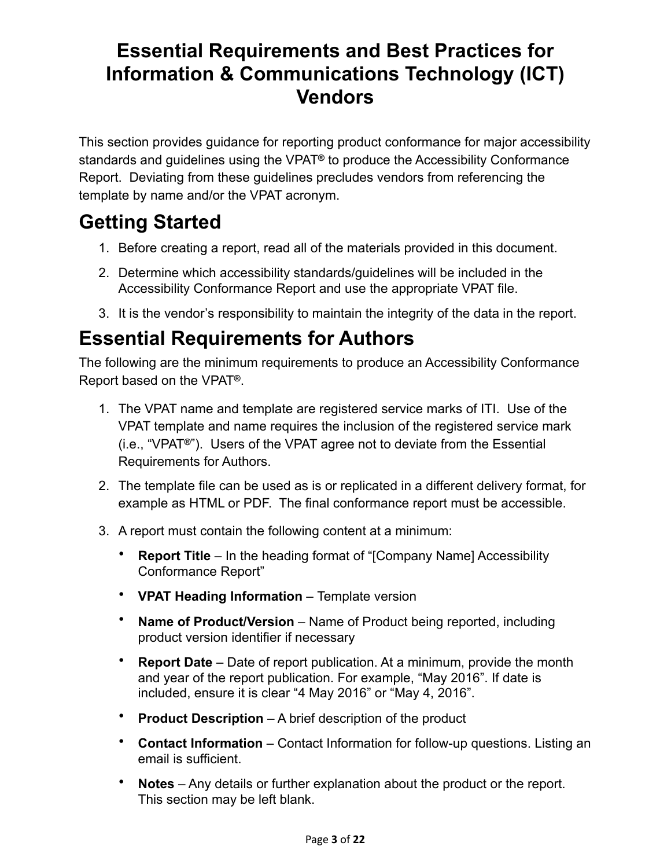### <span id="page-2-0"></span>**Essential Requirements and Best Practices for Information & Communications Technology (ICT) Vendors**

This section provides guidance for reporting product conformance for major accessibility standards and guidelines using the VPAT**®** to produce the Accessibility Conformance Report. Deviating from these guidelines precludes vendors from referencing the template by name and/or the VPAT acronym.

## <span id="page-2-1"></span>**Getting Started**

- 1. Before creating a report, read all of the materials provided in this document.
- 2. Determine which accessibility standards/guidelines will be included in the Accessibility Conformance Report and use the appropriate VPAT file.
- 3. It is the vendor's responsibility to maintain the integrity of the data in the report.

## <span id="page-2-2"></span>**Essential Requirements for Authors**

The following are the minimum requirements to produce an Accessibility Conformance Report based on the VPAT**®**.

- 1. The VPAT name and template are registered service marks of ITI. Use of the VPAT template and name requires the inclusion of the registered service mark (i.e., "VPAT**®"**). Users of the VPAT agree not to deviate from the Essential Requirements for Authors.
- 2. The template file can be used as is or replicated in a different delivery format, for example as HTML or PDF. The final conformance report must be accessible.
- 3. A report must contain the following content at a minimum:
	- **Report Title**  In the heading format of "[Company Name] Accessibility Conformance Report"
	- **VPAT Heading Information**  Template version
	- Name of Product/Version Name of Product being reported, including product version identifier if necessary
	- **Report Date**  Date of report publication. At a minimum, provide the month and year of the report publication. For example, "May 2016". If date is included, ensure it is clear "4 May 2016" or "May 4, 2016".
	- **Product Description**  A brief description of the product
	- **Contact Information**  Contact Information for follow-up questions. Listing an email is sufficient.
	- **Notes**  Any details or further explanation about the product or the report. This section may be left blank.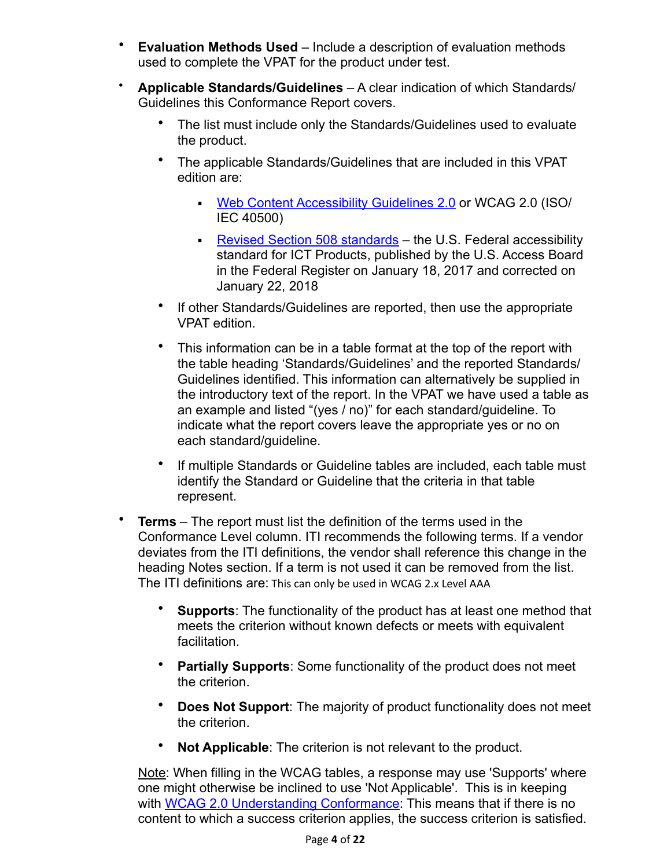- **Evaluation Methods Used**  Include a description of evaluation methods used to complete the VPAT for the product under test.
- **Applicable Standards/Guidelines**  A clear indication of which Standards/ Guidelines this Conformance Report covers.
	- The list must include only the Standards/Guidelines used to evaluate the product.
	- The applicable Standards/Guidelines that are included in this VPAT edition are:
		- [Web Content Accessibility Guidelines 2.0](http://www.w3.org/TR/2008/REC-WCAG20-20081211) or WCAG 2.0 (ISO/ IEC 40500)
		- [Revised Section 508 standards](https://www.access-board.gov/guidelines-and-standards/communications-and-it/about-the-ict-refresh/final-rule/text-of-the-standards-and-guidelines) the U.S. Federal accessibility standard for ICT Products, published by the U.S. Access Board in the Federal Register on January 18, 2017 and corrected on January 22, 2018
	- If other Standards/Guidelines are reported, then use the appropriate VPAT edition.
	- This information can be in a table format at the top of the report with the table heading 'Standards/Guidelines' and the reported Standards/ Guidelines identified. This information can alternatively be supplied in the introductory text of the report. In the VPAT we have used a table as an example and listed "(yes / no)" for each standard/guideline. To indicate what the report covers leave the appropriate yes or no on each standard/guideline.
	- If multiple Standards or Guideline tables are included, each table must identify the Standard or Guideline that the criteria in that table represent.
- **Terms**  The report must list the definition of the terms used in the Conformance Level column. ITI recommends the following terms. If a vendor deviates from the ITI definitions, the vendor shall reference this change in the heading Notes section. If a term is not used it can be removed from the list. The ITI definitions are: This can only be used in WCAG 2.x Level AAA
	- **Supports**: The functionality of the product has at least one method that meets the criterion without known defects or meets with equivalent facilitation.
	- **Partially Supports**: Some functionality of the product does not meet the criterion.
	- **Does Not Support**: The majority of product functionality does not meet the criterion.
	- **Not Applicable**: The criterion is not relevant to the product.

Note: When filling in the WCAG tables, a response may use 'Supports' where one might otherwise be inclined to use 'Not Applicable'. This is in keeping with WCAG 2.0 Understanding Conformance. This means that if there is no content to which a success criterion applies, the success criterion is satisfied.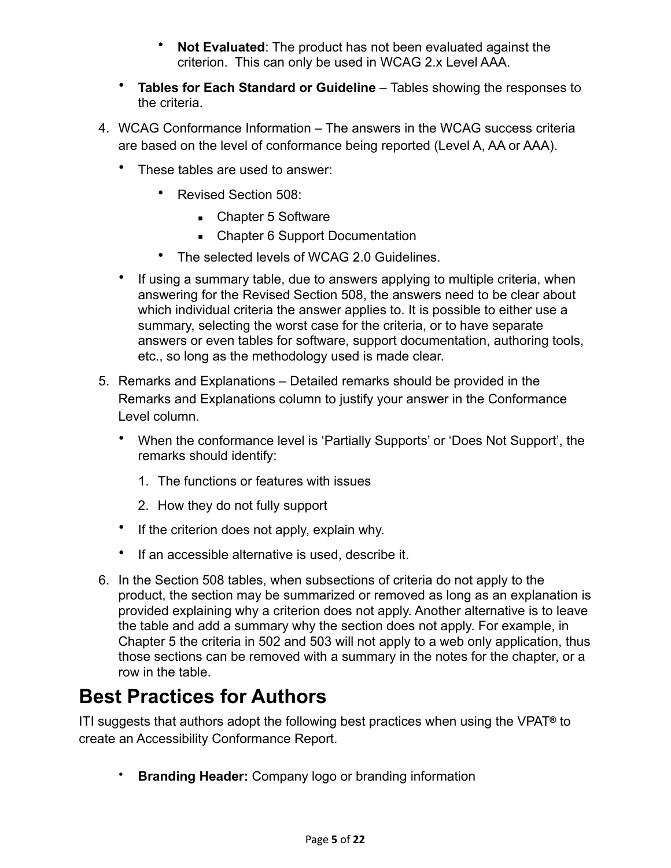- **Not Evaluated**: The product has not been evaluated against the criterion. This can only be used in WCAG 2.x Level AAA.
- **Tables for Each Standard or Guideline**  Tables showing the responses to the criteria.
- 4. WCAG Conformance Information The answers in the WCAG success criteria are based on the level of conformance being reported (Level A, AA or AAA).
	- These tables are used to answer:
		- Revised Section 508:
			- Chapter 5 Software
			- Chapter 6 Support Documentation
		- The selected levels of WCAG 2.0 Guidelines.
	- If using a summary table, due to answers applying to multiple criteria, when answering for the Revised Section 508, the answers need to be clear about which individual criteria the answer applies to. It is possible to either use a summary, selecting the worst case for the criteria, or to have separate answers or even tables for software, support documentation, authoring tools, etc., so long as the methodology used is made clear.
- 5. Remarks and Explanations Detailed remarks should be provided in the Remarks and Explanations column to justify your answer in the Conformance Level column.
	- When the conformance level is 'Partially Supports' or 'Does Not Support', the remarks should identify:
		- 1. The functions or features with issues
		- 2. How they do not fully support
	- If the criterion does not apply, explain why.
	- If an accessible alternative is used, describe it.
- 6. In the Section 508 tables, when subsections of criteria do not apply to the product, the section may be summarized or removed as long as an explanation is provided explaining why a criterion does not apply. Another alternative is to leave the table and add a summary why the section does not apply. For example, in Chapter 5 the criteria in 502 and 503 will not apply to a web only application, thus those sections can be removed with a summary in the notes for the chapter, or a row in the table.

#### <span id="page-4-0"></span>**Best Practices for Authors**

ITI suggests that authors adopt the following best practices when using the VPAT**®** to create an Accessibility Conformance Report.

• **Branding Header:** Company logo or branding information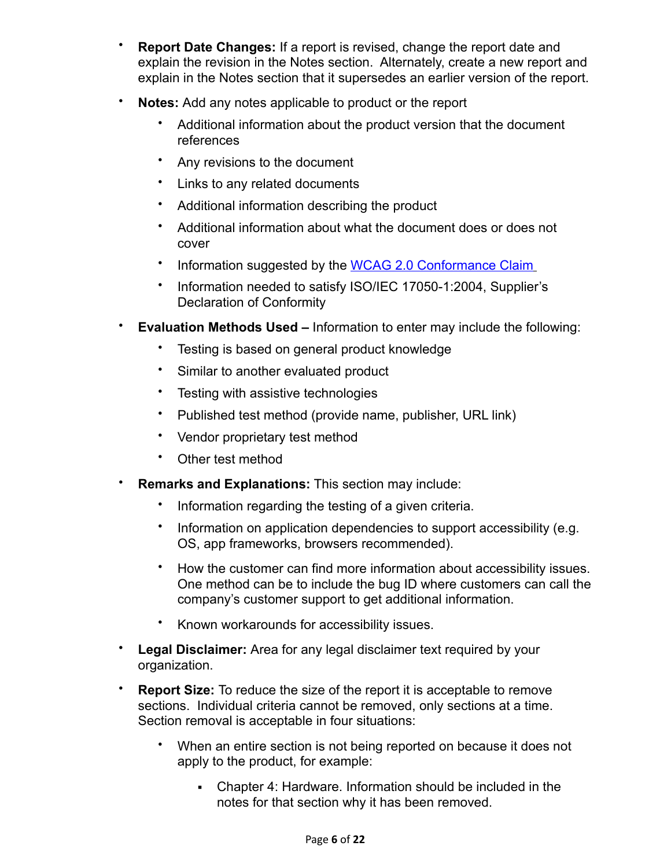- **Report Date Changes:** If a report is revised, change the report date and explain the revision in the Notes section. Alternately, create a new report and explain in the Notes section that it supersedes an earlier version of the report.
- **Notes:** Add any notes applicable to product or the report
	- Additional information about the product version that the document references
	- Any revisions to the document
	- Links to any related documents
	- Additional information describing the product
	- Additional information about what the document does or does not cover
	- Information suggested by the [WCAG 2.0 Conformance Claim](http://www.w3.org/TR/WCAG20/#conformance-claims)
	- Information needed to satisfy ISO/IEC 17050-1:2004, Supplier's Declaration of Conformity
- **Evaluation Methods Used –** Information to enter may include the following:
	- Testing is based on general product knowledge
	- Similar to another evaluated product
	- Testing with assistive technologies
	- Published test method (provide name, publisher, URL link)
	- Vendor proprietary test method
	- Other test method
- **Remarks and Explanations:** This section may include:
	- Information regarding the testing of a given criteria.
	- Information on application dependencies to support accessibility (e.g. OS, app frameworks, browsers recommended).
	- How the customer can find more information about accessibility issues. One method can be to include the bug ID where customers can call the company's customer support to get additional information.
	- Known workarounds for accessibility issues.
- **Legal Disclaimer:** Area for any legal disclaimer text required by your organization.
- **Report Size:** To reduce the size of the report it is acceptable to remove sections. Individual criteria cannot be removed, only sections at a time. Section removal is acceptable in four situations:
	- When an entire section is not being reported on because it does not apply to the product, for example:
		- Chapter 4: Hardware. Information should be included in the notes for that section why it has been removed.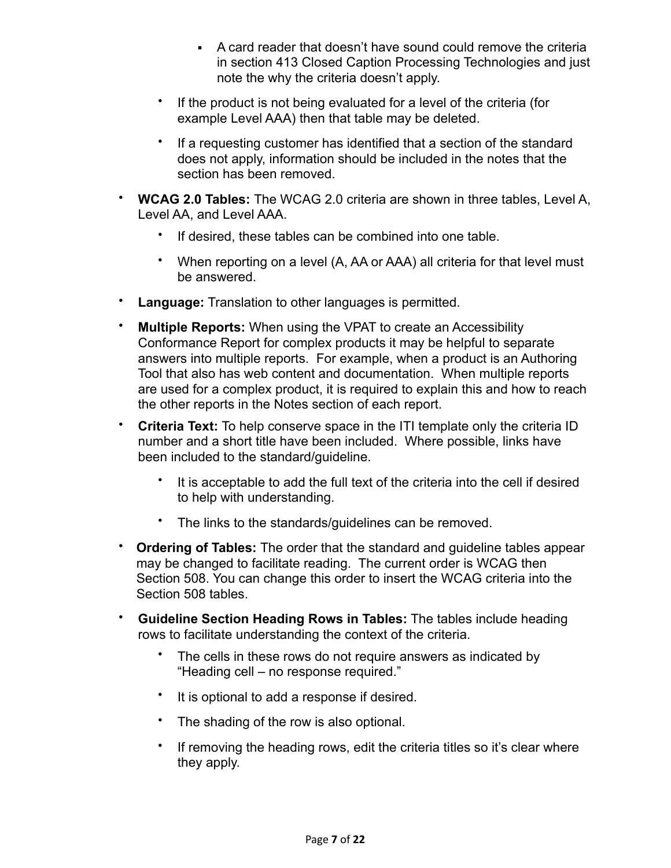- A card reader that doesn't have sound could remove the criteria in section 413 Closed Caption Processing Technologies and just note the why the criteria doesn't apply.
- If the product is not being evaluated for a level of the criteria (for example Level AAA) then that table may be deleted.
- If a requesting customer has identified that a section of the standard does not apply, information should be included in the notes that the section has been removed.
- **WCAG 2.0 Tables:** The WCAG 2.0 criteria are shown in three tables, Level A, Level AA, and Level AAA.
	- If desired, these tables can be combined into one table.
	- When reporting on a level (A, AA or AAA) all criteria for that level must be answered.
- **Language:** Translation to other languages is permitted.
- **Multiple Reports:** When using the VPAT to create an Accessibility Conformance Report for complex products it may be helpful to separate answers into multiple reports. For example, when a product is an Authoring Tool that also has web content and documentation. When multiple reports are used for a complex product, it is required to explain this and how to reach the other reports in the Notes section of each report.
- **Criteria Text:** To help conserve space in the ITI template only the criteria ID number and a short title have been included. Where possible, links have been included to the standard/guideline.
	- It is acceptable to add the full text of the criteria into the cell if desired to help with understanding.
	- The links to the standards/guidelines can be removed.
- **Ordering of Tables:** The order that the standard and guideline tables appear may be changed to facilitate reading. The current order is WCAG then Section 508. You can change this order to insert the WCAG criteria into the Section 508 tables.
- **Guideline Section Heading Rows in Tables:** The tables include heading rows to facilitate understanding the context of the criteria.
	- The cells in these rows do not require answers as indicated by "Heading cell – no response required."
	- It is optional to add a response if desired.
	- The shading of the row is also optional.
	- If removing the heading rows, edit the criteria titles so it's clear where they apply.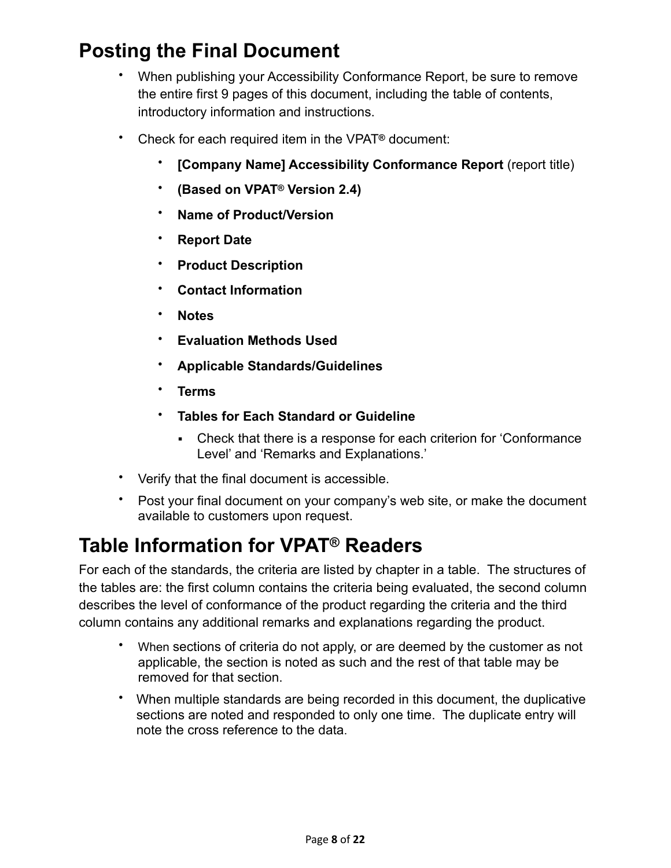## <span id="page-7-0"></span>**Posting the Final Document**

- When publishing your Accessibility Conformance Report, be sure to remove the entire first 9 pages of this document, including the table of contents, introductory information and instructions.
- Check for each required item in the VPAT**®** document:
	- **[Company Name] Accessibility Conformance Report** (report title)
	- **(Based on VPAT® Version 2.4)**
	- **Name of Product/Version**
	- **Report Date**
	- **Product Description**
	- **Contact Information**
	- **Notes**
	- **Evaluation Methods Used**
	- **Applicable Standards/Guidelines**
	- **Terms**
	- **Tables for Each Standard or Guideline**
		- Check that there is a response for each criterion for 'Conformance Level' and 'Remarks and Explanations.'
- Verify that the final document is accessible.
- Post your final document on your company's web site, or make the document available to customers upon request.

## <span id="page-7-1"></span>**Table Information for VPAT® Readers**

For each of the standards, the criteria are listed by chapter in a table. The structures of the tables are: the first column contains the criteria being evaluated, the second column describes the level of conformance of the product regarding the criteria and the third column contains any additional remarks and explanations regarding the product.

- When sections of criteria do not apply, or are deemed by the customer as not applicable, the section is noted as such and the rest of that table may be removed for that section.
- When multiple standards are being recorded in this document, the duplicative sections are noted and responded to only one time. The duplicate entry will note the cross reference to the data.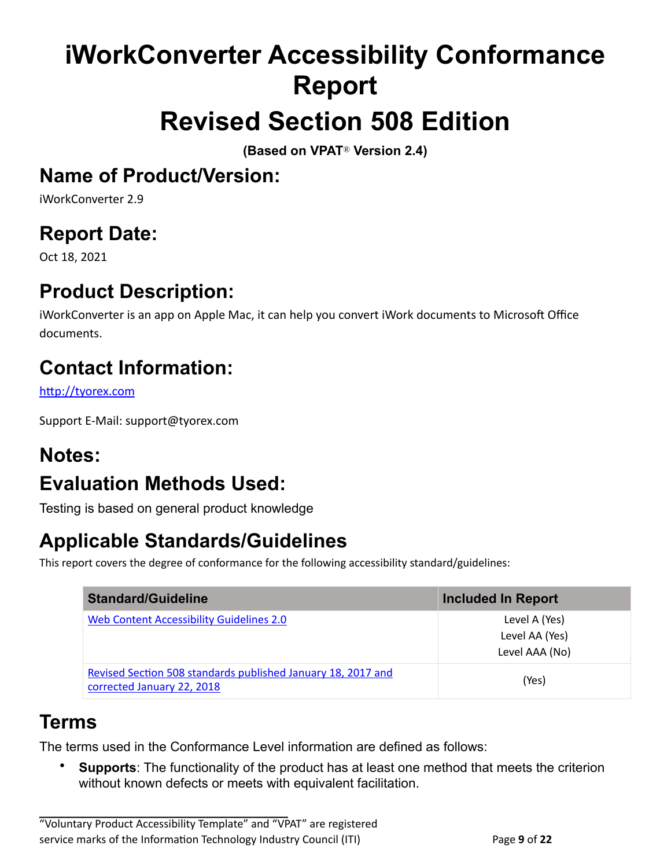# <span id="page-8-0"></span>**iWorkConverter Accessibility Conformance Report**

## <span id="page-8-1"></span>**Revised Section 508 Edition**

**(Based on VPAT**® **Version 2.4)**

### <span id="page-8-2"></span>**Name of Product/Version:**

iWorkConverter 2.9

## <span id="page-8-3"></span>**Report Date:**

Oct 18, 2021

## <span id="page-8-4"></span>**Product Description:**

iWorkConverter is an app on Apple Mac, it can help you convert iWork documents to Microsoft Office documents.

## <span id="page-8-5"></span>**Contact Information:**

<http://tyorex.com>

Support E-Mail: support@tyorex.com

#### <span id="page-8-6"></span>**Notes:**

## <span id="page-8-7"></span>**Evaluation Methods Used:**

Testing is based on general product knowledge

## <span id="page-8-8"></span>**Applicable Standards/Guidelines**

This report covers the degree of conformance for the following accessibility standard/guidelines:

| <b>Standard/Guideline</b>                                                                  | <b>Included In Report</b>                         |
|--------------------------------------------------------------------------------------------|---------------------------------------------------|
| <b>Web Content Accessibility Guidelines 2.0</b>                                            | Level A (Yes)<br>Level AA (Yes)<br>Level AAA (No) |
| Revised Section 508 standards published January 18, 2017 and<br>corrected January 22, 2018 | (Yes)                                             |

#### <span id="page-8-9"></span>**Terms**

The terms used in the Conformance Level information are defined as follows:

• **Supports**: The functionality of the product has at least one method that meets the criterion without known defects or meets with equivalent facilitation.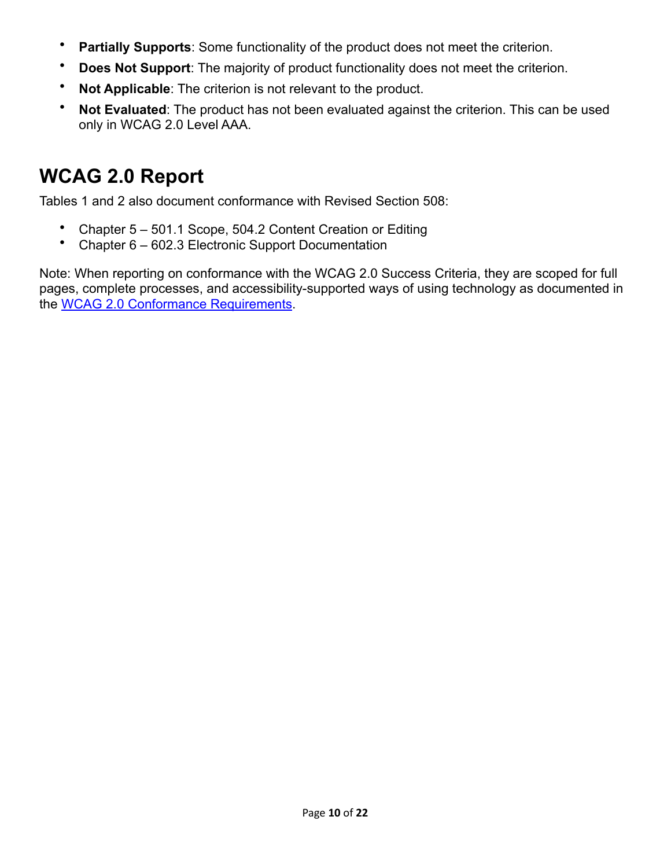- **Partially Supports**: Some functionality of the product does not meet the criterion.
- **Does Not Support:** The majority of product functionality does not meet the criterion.
- **Not Applicable**: The criterion is not relevant to the product.
- **Not Evaluated:** The product has not been evaluated against the criterion. This can be used only in WCAG 2.0 Level AAA.

## <span id="page-9-0"></span>**WCAG 2.0 Report**

Tables 1 and 2 also document conformance with Revised Section 508:

- Chapter 5 501.1 Scope, 504.2 Content Creation or Editing
- Chapter 6 602.3 Electronic Support Documentation

Note: When reporting on conformance with the WCAG 2.0 Success Criteria, they are scoped for full pages, complete processes, and accessibility-supported ways of using technology as documented in the [WCAG 2.0 Conformance Requirements.](https://www.w3.org/TR/WCAG20/#conformance-reqs)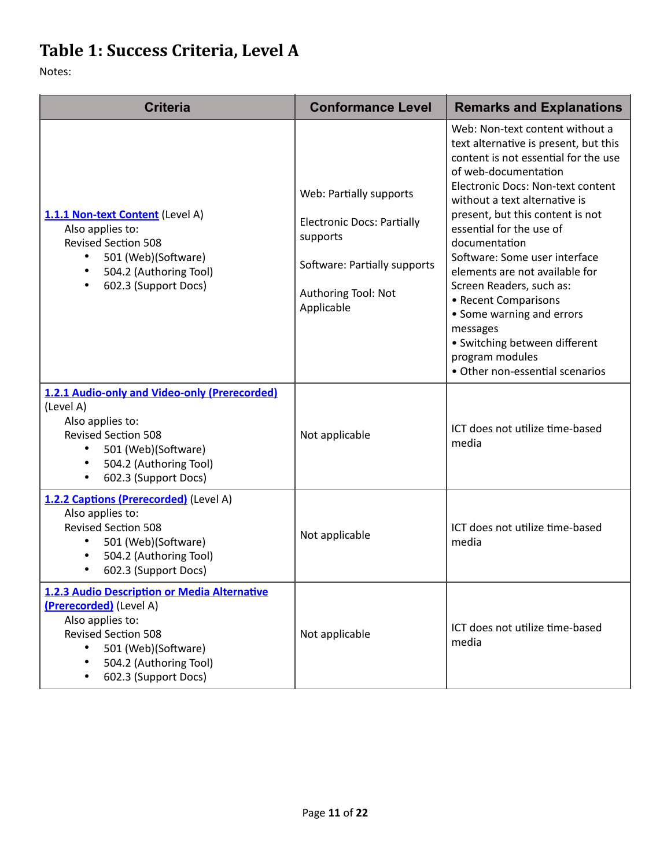## <span id="page-10-0"></span>Table 1: Success Criteria, Level A

| <b>Criteria</b>                                                                                                                                                                                                 | <b>Conformance Level</b>                                                                                                                      | <b>Remarks and Explanations</b>                                                                                                                                                                                                                                                                                                                                                                                                                                                                                                                        |
|-----------------------------------------------------------------------------------------------------------------------------------------------------------------------------------------------------------------|-----------------------------------------------------------------------------------------------------------------------------------------------|--------------------------------------------------------------------------------------------------------------------------------------------------------------------------------------------------------------------------------------------------------------------------------------------------------------------------------------------------------------------------------------------------------------------------------------------------------------------------------------------------------------------------------------------------------|
| 1.1.1 Non-text Content (Level A)<br>Also applies to:<br><b>Revised Section 508</b><br>501 (Web)(Software)<br>504.2 (Authoring Tool)<br>602.3 (Support Docs)                                                     | Web: Partially supports<br><b>Electronic Docs: Partially</b><br>supports<br>Software: Partially supports<br>Authoring Tool: Not<br>Applicable | Web: Non-text content without a<br>text alternative is present, but this<br>content is not essential for the use<br>of web-documentation<br>Electronic Docs: Non-text content<br>without a text alternative is<br>present, but this content is not<br>essential for the use of<br>documentation<br>Software: Some user interface<br>elements are not available for<br>Screen Readers, such as:<br>• Recent Comparisons<br>• Some warning and errors<br>messages<br>• Switching between different<br>program modules<br>• Other non-essential scenarios |
| 1.2.1 Audio-only and Video-only (Prerecorded)<br>(Level A)<br>Also applies to:<br><b>Revised Section 508</b><br>501 (Web)(Software)<br>$\bullet$<br>504.2 (Authoring Tool)<br>602.3 (Support Docs)<br>٠         | Not applicable                                                                                                                                | ICT does not utilize time-based<br>media                                                                                                                                                                                                                                                                                                                                                                                                                                                                                                               |
| 1.2.2 Captions (Prerecorded) (Level A)<br>Also applies to:<br><b>Revised Section 508</b><br>501 (Web)(Software)<br>$\bullet$<br>504.2 (Authoring Tool)<br>602.3 (Support Docs)                                  | Not applicable                                                                                                                                | ICT does not utilize time-based<br>media                                                                                                                                                                                                                                                                                                                                                                                                                                                                                                               |
| 1.2.3 Audio Description or Media Alternative<br>(Prerecorded) (Level A)<br>Also applies to:<br><b>Revised Section 508</b><br>501 (Web)(Software)<br>504.2 (Authoring Tool)<br>$\bullet$<br>602.3 (Support Docs) | Not applicable                                                                                                                                | ICT does not utilize time-based<br>media                                                                                                                                                                                                                                                                                                                                                                                                                                                                                                               |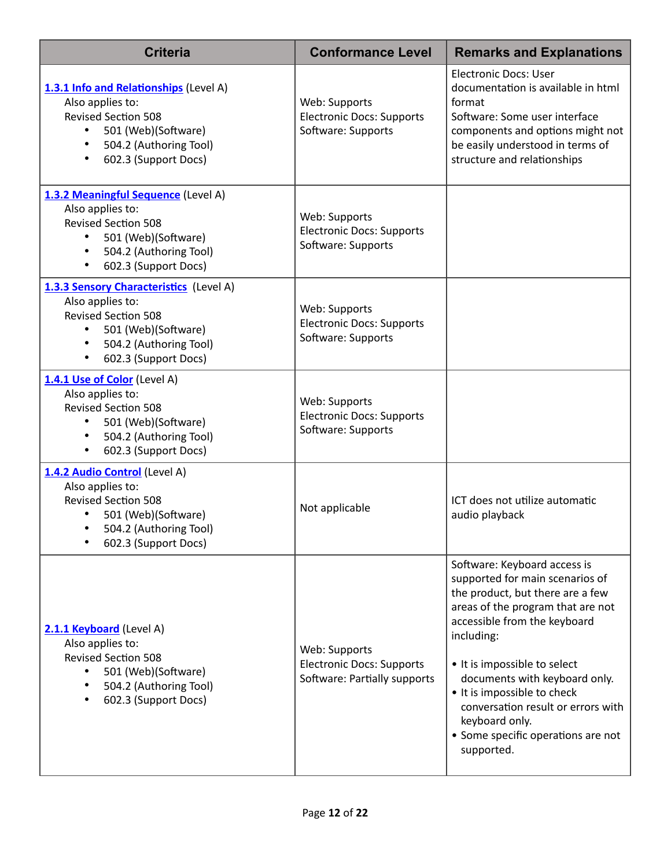| <b>Criteria</b>                                                                                                                                                                                           | <b>Conformance Level</b>                                                          | <b>Remarks and Explanations</b>                                                                                                                                                                                                                                                                                                                                                                    |
|-----------------------------------------------------------------------------------------------------------------------------------------------------------------------------------------------------------|-----------------------------------------------------------------------------------|----------------------------------------------------------------------------------------------------------------------------------------------------------------------------------------------------------------------------------------------------------------------------------------------------------------------------------------------------------------------------------------------------|
| 1.3.1 Info and Relationships (Level A)<br>Also applies to:<br><b>Revised Section 508</b><br>501 (Web)(Software)<br>$\bullet$<br>504.2 (Authoring Tool)<br>$\bullet$<br>602.3 (Support Docs)<br>$\bullet$  | Web: Supports<br><b>Electronic Docs: Supports</b><br>Software: Supports           | <b>Electronic Docs: User</b><br>documentation is available in html<br>format<br>Software: Some user interface<br>components and options might not<br>be easily understood in terms of<br>structure and relationships                                                                                                                                                                               |
| 1.3.2 Meaningful Sequence (Level A)<br>Also applies to:<br><b>Revised Section 508</b><br>501 (Web)(Software)<br>٠<br>504.2 (Authoring Tool)<br>602.3 (Support Docs)<br>$\bullet$                          | Web: Supports<br><b>Electronic Docs: Supports</b><br>Software: Supports           |                                                                                                                                                                                                                                                                                                                                                                                                    |
| 1.3.3 Sensory Characteristics (Level A)<br>Also applies to:<br><b>Revised Section 508</b><br>501 (Web)(Software)<br>$\bullet$<br>504.2 (Authoring Tool)<br>$\bullet$<br>602.3 (Support Docs)<br>$\bullet$ | Web: Supports<br><b>Electronic Docs: Supports</b><br>Software: Supports           |                                                                                                                                                                                                                                                                                                                                                                                                    |
| 1.4.1 Use of Color (Level A)<br>Also applies to:<br><b>Revised Section 508</b><br>501 (Web)(Software)<br>504.2 (Authoring Tool)<br>$\bullet$<br>602.3 (Support Docs)<br>$\bullet$                         | Web: Supports<br><b>Electronic Docs: Supports</b><br>Software: Supports           |                                                                                                                                                                                                                                                                                                                                                                                                    |
| 1.4.2 Audio Control (Level A)<br>Also applies to:<br><b>Revised Section 508</b><br>501 (Web)(Software)<br>504.2 (Authoring Tool)<br>602.3 (Support Docs)                                                  | Not applicable                                                                    | ICT does not utilize automatic<br>audio playback                                                                                                                                                                                                                                                                                                                                                   |
| 2.1.1 Keyboard (Level A)<br>Also applies to:<br><b>Revised Section 508</b><br>501 (Web)(Software)<br>504.2 (Authoring Tool)<br>602.3 (Support Docs)                                                       | Web: Supports<br><b>Electronic Docs: Supports</b><br>Software: Partially supports | Software: Keyboard access is<br>supported for main scenarios of<br>the product, but there are a few<br>areas of the program that are not<br>accessible from the keyboard<br>including:<br>• It is impossible to select<br>documents with keyboard only.<br>• It is impossible to check<br>conversation result or errors with<br>keyboard only.<br>• Some specific operations are not<br>supported. |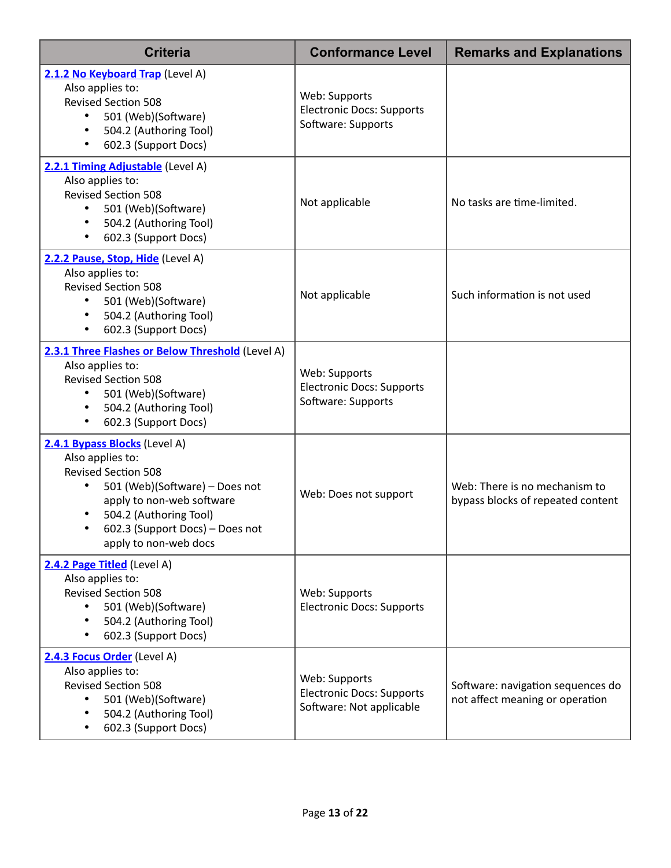| <b>Criteria</b>                                                                                                                                                                                                                                   | <b>Conformance Level</b>                                                      | <b>Remarks and Explanations</b>                                      |
|---------------------------------------------------------------------------------------------------------------------------------------------------------------------------------------------------------------------------------------------------|-------------------------------------------------------------------------------|----------------------------------------------------------------------|
| 2.1.2 No Keyboard Trap (Level A)<br>Also applies to:<br><b>Revised Section 508</b><br>501 (Web)(Software)<br>$\bullet$<br>504.2 (Authoring Tool)<br>602.3 (Support Docs)                                                                          | Web: Supports<br><b>Electronic Docs: Supports</b><br>Software: Supports       |                                                                      |
| 2.2.1 Timing Adjustable (Level A)<br>Also applies to:<br><b>Revised Section 508</b><br>501 (Web)(Software)<br>$\bullet$<br>504.2 (Authoring Tool)<br>602.3 (Support Docs)                                                                         | Not applicable                                                                | No tasks are time-limited.                                           |
| 2.2.2 Pause, Stop, Hide (Level A)<br>Also applies to:<br><b>Revised Section 508</b><br>501 (Web)(Software)<br>$\bullet$<br>504.2 (Authoring Tool)<br>602.3 (Support Docs)<br>$\bullet$                                                            | Not applicable                                                                | Such information is not used                                         |
| 2.3.1 Three Flashes or Below Threshold (Level A)<br>Also applies to:<br><b>Revised Section 508</b><br>501 (Web)(Software)<br>$\bullet$<br>504.2 (Authoring Tool)<br>602.3 (Support Docs)<br>٠                                                     | Web: Supports<br><b>Electronic Docs: Supports</b><br>Software: Supports       |                                                                      |
| 2.4.1 Bypass Blocks (Level A)<br>Also applies to:<br><b>Revised Section 508</b><br>501 (Web)(Software) - Does not<br>$\bullet$<br>apply to non-web software<br>504.2 (Authoring Tool)<br>602.3 (Support Docs) - Does not<br>apply to non-web docs | Web: Does not support                                                         | Web: There is no mechanism to<br>bypass blocks of repeated content   |
| 2.4.2 Page Titled (Level A)<br>Also applies to:<br><b>Revised Section 508</b><br>501 (Web)(Software)<br>504.2 (Authoring Tool)<br>$\bullet$<br>602.3 (Support Docs)<br>$\bullet$                                                                  | Web: Supports<br><b>Electronic Docs: Supports</b>                             |                                                                      |
| 2.4.3 Focus Order (Level A)<br>Also applies to:<br><b>Revised Section 508</b><br>501 (Web)(Software)<br>$\bullet$<br>504.2 (Authoring Tool)<br>$\bullet$<br>602.3 (Support Docs)<br>$\bullet$                                                     | Web: Supports<br><b>Electronic Docs: Supports</b><br>Software: Not applicable | Software: navigation sequences do<br>not affect meaning or operation |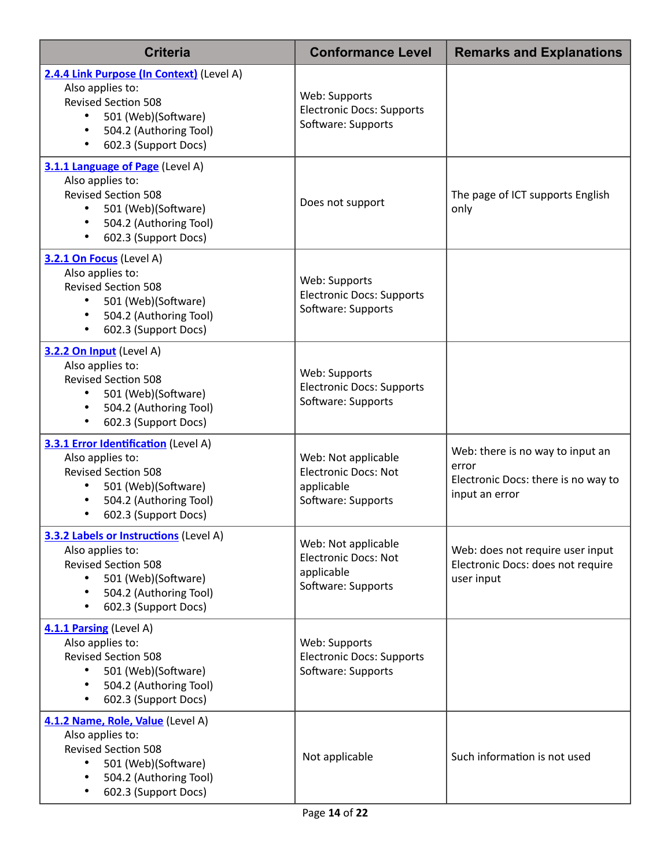| <b>Criteria</b>                                                                                                                                                                   | <b>Conformance Level</b>                                                               | <b>Remarks and Explanations</b>                                                                    |
|-----------------------------------------------------------------------------------------------------------------------------------------------------------------------------------|----------------------------------------------------------------------------------------|----------------------------------------------------------------------------------------------------|
| 2.4.4 Link Purpose (In Context) (Level A)<br>Also applies to:<br><b>Revised Section 508</b><br>501 (Web)(Software)<br>$\bullet$<br>504.2 (Authoring Tool)<br>602.3 (Support Docs) | Web: Supports<br><b>Electronic Docs: Supports</b><br>Software: Supports                |                                                                                                    |
| 3.1.1 Language of Page (Level A)<br>Also applies to:<br><b>Revised Section 508</b><br>501 (Web)(Software)<br>$\bullet$<br>504.2 (Authoring Tool)<br>602.3 (Support Docs)          | Does not support                                                                       | The page of ICT supports English<br>only                                                           |
| 3.2.1 On Focus (Level A)<br>Also applies to:<br><b>Revised Section 508</b><br>501 (Web)(Software)<br>$\bullet$<br>504.2 (Authoring Tool)<br>602.3 (Support Docs)                  | Web: Supports<br><b>Electronic Docs: Supports</b><br>Software: Supports                |                                                                                                    |
| 3.2.2 On Input (Level A)<br>Also applies to:<br><b>Revised Section 508</b><br>501 (Web)(Software)<br>$\bullet$<br>504.2 (Authoring Tool)<br>602.3 (Support Docs)                  | Web: Supports<br><b>Electronic Docs: Supports</b><br>Software: Supports                |                                                                                                    |
| 3.3.1 Error Identification (Level A)<br>Also applies to:<br><b>Revised Section 508</b><br>501 (Web)(Software)<br>504.2 (Authoring Tool)<br>602.3 (Support Docs)                   | Web: Not applicable<br><b>Electronic Docs: Not</b><br>applicable<br>Software: Supports | Web: there is no way to input an<br>error<br>Electronic Docs: there is no way to<br>input an error |
| 3.3.2 Labels or Instructions (Level A)<br>Also applies to:<br><b>Revised Section 508</b><br>501 (Web)(Software)<br>504.2 (Authoring Tool)<br>602.3 (Support Docs)                 | Web: Not applicable<br><b>Electronic Docs: Not</b><br>applicable<br>Software: Supports | Web: does not require user input<br>Electronic Docs: does not require<br>user input                |
| 4.1.1 Parsing (Level A)<br>Also applies to:<br><b>Revised Section 508</b><br>501 (Web)(Software)<br>504.2 (Authoring Tool)<br>602.3 (Support Docs)                                | Web: Supports<br><b>Electronic Docs: Supports</b><br>Software: Supports                |                                                                                                    |
| 4.1.2 Name, Role, Value (Level A)<br>Also applies to:<br><b>Revised Section 508</b><br>501 (Web)(Software)<br>504.2 (Authoring Tool)<br>602.3 (Support Docs)                      | Not applicable                                                                         | Such information is not used                                                                       |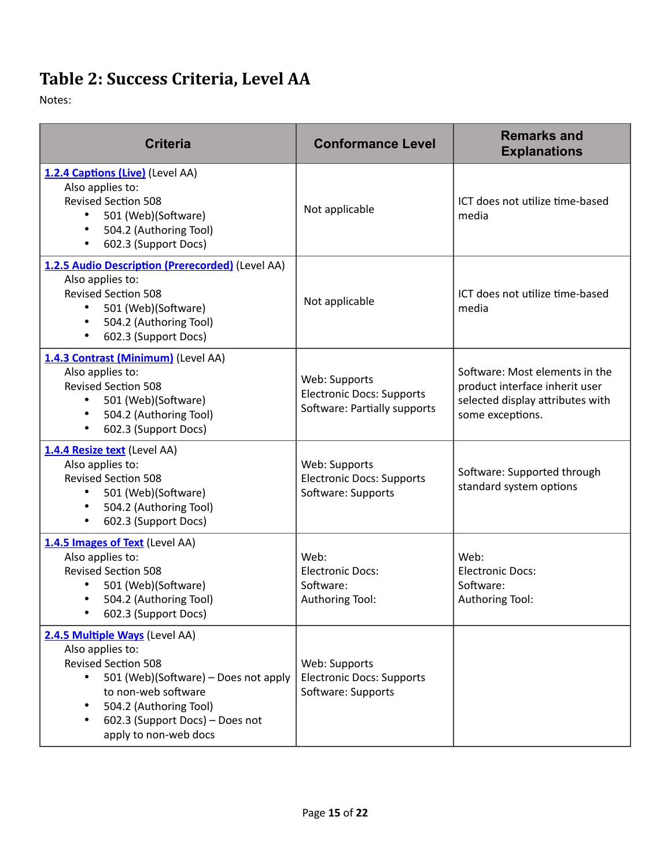## <span id="page-14-0"></span>Table 2: Success Criteria, Level AA

| <b>Criteria</b>                                                                                                                                                                                                                                    | <b>Conformance Level</b>                                                          | <b>Remarks and</b><br><b>Explanations</b>                                                                                |
|----------------------------------------------------------------------------------------------------------------------------------------------------------------------------------------------------------------------------------------------------|-----------------------------------------------------------------------------------|--------------------------------------------------------------------------------------------------------------------------|
| 1.2.4 Captions (Live) (Level AA)<br>Also applies to:<br><b>Revised Section 508</b><br>501 (Web)(Software)<br>$\bullet$<br>504.2 (Authoring Tool)<br>$\bullet$<br>602.3 (Support Docs)<br>$\bullet$                                                 | Not applicable                                                                    | ICT does not utilize time-based<br>media                                                                                 |
| 1.2.5 Audio Description (Prerecorded) (Level AA)<br>Also applies to:<br><b>Revised Section 508</b><br>501 (Web)(Software)<br>504.2 (Authoring Tool)<br>$\bullet$<br>602.3 (Support Docs)<br>$\bullet$                                              | Not applicable                                                                    | ICT does not utilize time-based<br>media                                                                                 |
| 1.4.3 Contrast (Minimum) (Level AA)<br>Also applies to:<br><b>Revised Section 508</b><br>501 (Web)(Software)<br>504.2 (Authoring Tool)<br>$\bullet$<br>602.3 (Support Docs)<br>$\bullet$                                                           | Web: Supports<br><b>Electronic Docs: Supports</b><br>Software: Partially supports | Software: Most elements in the<br>product interface inherit user<br>selected display attributes with<br>some exceptions. |
| 1.4.4 Resize text (Level AA)<br>Also applies to:<br><b>Revised Section 508</b><br>501 (Web)(Software)<br>504.2 (Authoring Tool)<br>$\bullet$<br>602.3 (Support Docs)<br>$\bullet$                                                                  | Web: Supports<br><b>Electronic Docs: Supports</b><br>Software: Supports           | Software: Supported through<br>standard system options                                                                   |
| 1.4.5 Images of Text (Level AA)<br>Also applies to:<br><b>Revised Section 508</b><br>501 (Web)(Software)<br>504.2 (Authoring Tool)<br>$\bullet$<br>602.3 (Support Docs)                                                                            | Web:<br><b>Electronic Docs:</b><br>Software:<br>Authoring Tool:                   | Web:<br><b>Electronic Docs:</b><br>Software:<br>Authoring Tool:                                                          |
| 2.4.5 Multiple Ways (Level AA)<br>Also applies to:<br><b>Revised Section 508</b><br>$\bullet$<br>501 (Web)(Software) - Does not apply<br>to non-web software<br>504.2 (Authoring Tool)<br>602.3 (Support Docs) - Does not<br>apply to non-web docs | Web: Supports<br><b>Electronic Docs: Supports</b><br>Software: Supports           |                                                                                                                          |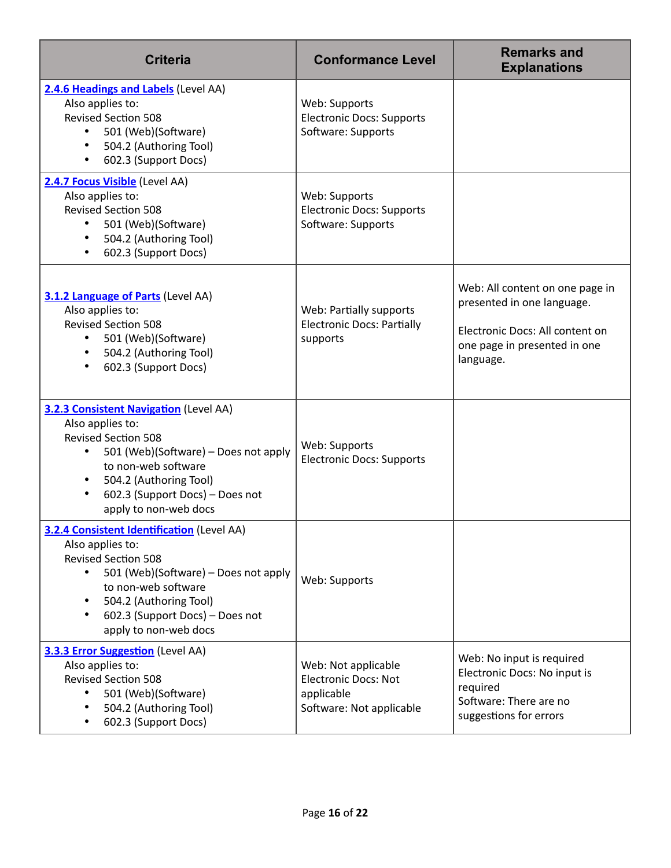| <b>Criteria</b>                                                                                                                                                                                                                                   | <b>Conformance Level</b>                                                                     | <b>Remarks and</b><br><b>Explanations</b>                                                                                                     |
|---------------------------------------------------------------------------------------------------------------------------------------------------------------------------------------------------------------------------------------------------|----------------------------------------------------------------------------------------------|-----------------------------------------------------------------------------------------------------------------------------------------------|
| 2.4.6 Headings and Labels (Level AA)<br>Also applies to:<br><b>Revised Section 508</b><br>501 (Web)(Software)<br>٠<br>504.2 (Authoring Tool)<br>602.3 (Support Docs)                                                                              | Web: Supports<br><b>Electronic Docs: Supports</b><br>Software: Supports                      |                                                                                                                                               |
| 2.4.7 Focus Visible (Level AA)<br>Also applies to:<br><b>Revised Section 508</b><br>501 (Web)(Software)<br>٠<br>504.2 (Authoring Tool)<br>$\bullet$<br>602.3 (Support Docs)<br>٠                                                                  | Web: Supports<br><b>Electronic Docs: Supports</b><br>Software: Supports                      |                                                                                                                                               |
| 3.1.2 Language of Parts (Level AA)<br>Also applies to:<br><b>Revised Section 508</b><br>501 (Web)(Software)<br>$\bullet$<br>504.2 (Authoring Tool)<br>$\bullet$<br>602.3 (Support Docs)                                                           | Web: Partially supports<br><b>Electronic Docs: Partially</b><br>supports                     | Web: All content on one page in<br>presented in one language.<br>Electronic Docs: All content on<br>one page in presented in one<br>language. |
| 3.2.3 Consistent Navigation (Level AA)<br>Also applies to:<br><b>Revised Section 508</b><br>501 (Web)(Software) - Does not apply<br>to non-web software<br>504.2 (Authoring Tool)<br>602.3 (Support Docs) - Does not<br>apply to non-web docs     | Web: Supports<br><b>Electronic Docs: Supports</b>                                            |                                                                                                                                               |
| 3.2.4 Consistent Identification (Level AA)<br>Also applies to:<br><b>Revised Section 508</b><br>501 (Web)(Software) – Does not apply<br>to non-web software<br>504.2 (Authoring Tool)<br>602.3 (Support Docs) - Does not<br>apply to non-web docs | Web: Supports                                                                                |                                                                                                                                               |
| <b>3.3.3 Error Suggestion</b> (Level AA)<br>Also applies to:<br><b>Revised Section 508</b><br>501 (Web)(Software)<br>504.2 (Authoring Tool)<br>602.3 (Support Docs)                                                                               | Web: Not applicable<br><b>Electronic Docs: Not</b><br>applicable<br>Software: Not applicable | Web: No input is required<br>Electronic Docs: No input is<br>required<br>Software: There are no<br>suggestions for errors                     |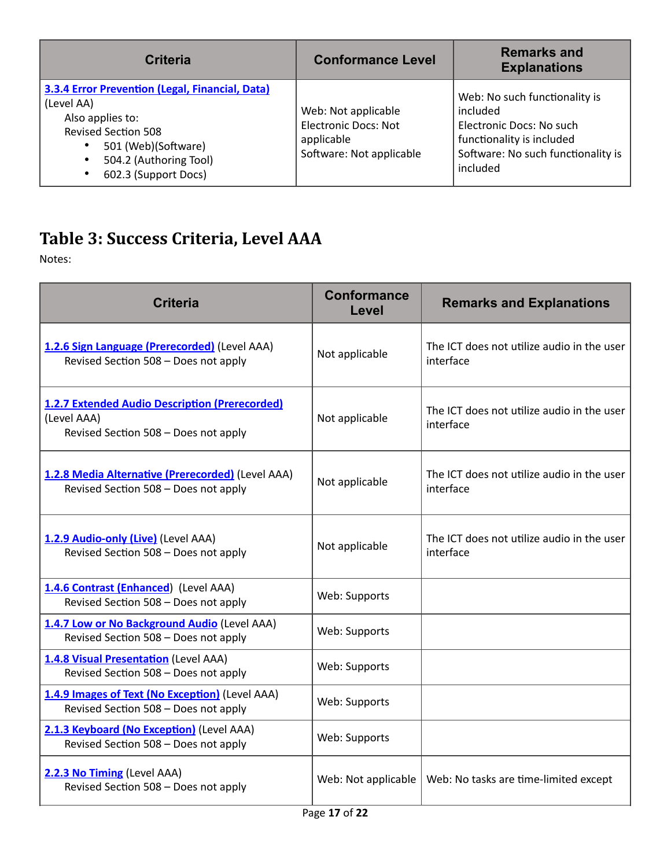| <b>Criteria</b>                                                                                                                                                                                 | <b>Conformance Level</b>                                                                     | <b>Remarks and</b><br><b>Explanations</b>                                                                                                            |
|-------------------------------------------------------------------------------------------------------------------------------------------------------------------------------------------------|----------------------------------------------------------------------------------------------|------------------------------------------------------------------------------------------------------------------------------------------------------|
| <b>3.3.4 Error Prevention (Legal, Financial, Data)</b><br>(Level AA)<br>Also applies to:<br><b>Revised Section 508</b><br>501 (Web)(Software)<br>504.2 (Authoring Tool)<br>602.3 (Support Docs) | Web: Not applicable<br><b>Electronic Docs: Not</b><br>applicable<br>Software: Not applicable | Web: No such functionality is<br>included<br>Electronic Docs: No such<br>functionality is included<br>Software: No such functionality is<br>included |

## <span id="page-16-0"></span>Table 3: Success Criteria, Level AAA

| <b>Criteria</b>                                                                                              | Conformance<br>Level | <b>Remarks and Explanations</b>                         |
|--------------------------------------------------------------------------------------------------------------|----------------------|---------------------------------------------------------|
| 1.2.6 Sign Language (Prerecorded) (Level AAA)<br>Revised Section 508 - Does not apply                        | Not applicable       | The ICT does not utilize audio in the user<br>interface |
| <b>1.2.7 Extended Audio Description (Prerecorded)</b><br>(Level AAA)<br>Revised Section 508 - Does not apply | Not applicable       | The ICT does not utilize audio in the user<br>interface |
| 1.2.8 Media Alternative (Prerecorded) (Level AAA)<br>Revised Section 508 - Does not apply                    | Not applicable       | The ICT does not utilize audio in the user<br>interface |
| 1.2.9 Audio-only (Live) (Level AAA)<br>Revised Section 508 - Does not apply                                  | Not applicable       | The ICT does not utilize audio in the user<br>interface |
| 1.4.6 Contrast (Enhanced) (Level AAA)<br>Revised Section 508 - Does not apply                                | Web: Supports        |                                                         |
| 1.4.7 Low or No Background Audio (Level AAA)<br>Revised Section 508 - Does not apply                         | Web: Supports        |                                                         |
| 1.4.8 Visual Presentation (Level AAA)<br>Revised Section 508 - Does not apply                                | Web: Supports        |                                                         |
| 1.4.9 Images of Text (No Exception) (Level AAA)<br>Revised Section 508 - Does not apply                      | Web: Supports        |                                                         |
| 2.1.3 Keyboard (No Exception) (Level AAA)<br>Revised Section 508 - Does not apply                            | Web: Supports        |                                                         |
| 2.2.3 No Timing (Level AAA)<br>Revised Section 508 - Does not apply                                          | Web: Not applicable  | Web: No tasks are time-limited except                   |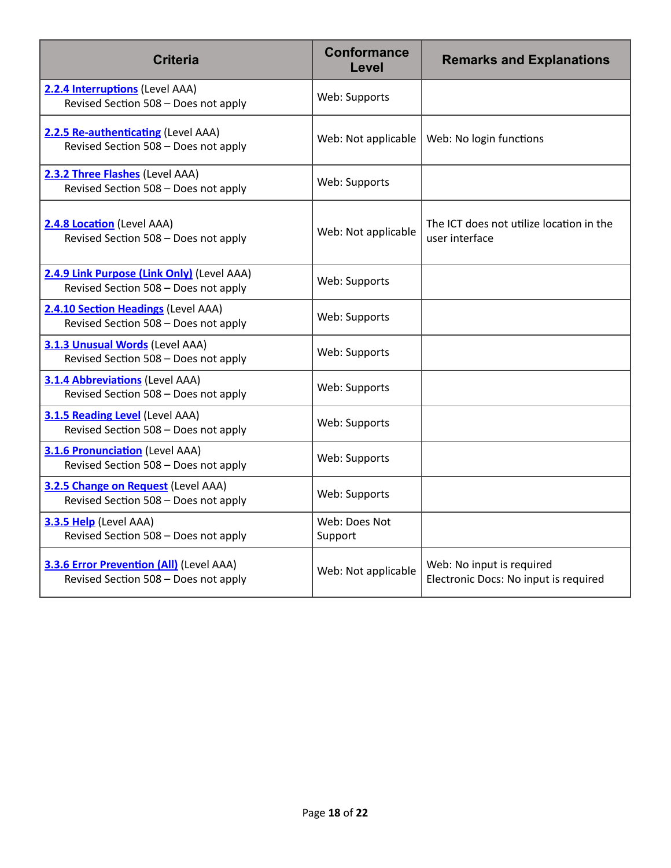| <b>Criteria</b>                                                                         | <b>Conformance</b><br>Level | <b>Remarks and Explanations</b>                                    |
|-----------------------------------------------------------------------------------------|-----------------------------|--------------------------------------------------------------------|
| 2.2.4 Interruptions (Level AAA)<br>Revised Section 508 - Does not apply                 | Web: Supports               |                                                                    |
| 2.2.5 Re-authenticating (Level AAA)<br>Revised Section 508 - Does not apply             | Web: Not applicable         | Web: No login functions                                            |
| 2.3.2 Three Flashes (Level AAA)<br>Revised Section 508 - Does not apply                 | Web: Supports               |                                                                    |
| 2.4.8 Location (Level AAA)<br>Revised Section 508 - Does not apply                      | Web: Not applicable         | The ICT does not utilize location in the<br>user interface         |
| 2.4.9 Link Purpose (Link Only) (Level AAA)<br>Revised Section 508 - Does not apply      | Web: Supports               |                                                                    |
| 2.4.10 Section Headings (Level AAA)<br>Revised Section 508 - Does not apply             | Web: Supports               |                                                                    |
| 3.1.3 Unusual Words (Level AAA)<br>Revised Section 508 - Does not apply                 | Web: Supports               |                                                                    |
| 3.1.4 Abbreviations (Level AAA)<br>Revised Section 508 - Does not apply                 | Web: Supports               |                                                                    |
| <b>3.1.5 Reading Level (Level AAA)</b><br>Revised Section 508 - Does not apply          | Web: Supports               |                                                                    |
| 3.1.6 Pronunciation (Level AAA)<br>Revised Section 508 - Does not apply                 | Web: Supports               |                                                                    |
| 3.2.5 Change on Request (Level AAA)<br>Revised Section 508 - Does not apply             | Web: Supports               |                                                                    |
| 3.3.5 Help (Level AAA)<br>Revised Section 508 - Does not apply                          | Web: Does Not<br>Support    |                                                                    |
| <b>3.3.6 Error Prevention (All)</b> (Level AAA)<br>Revised Section 508 - Does not apply | Web: Not applicable         | Web: No input is required<br>Electronic Docs: No input is required |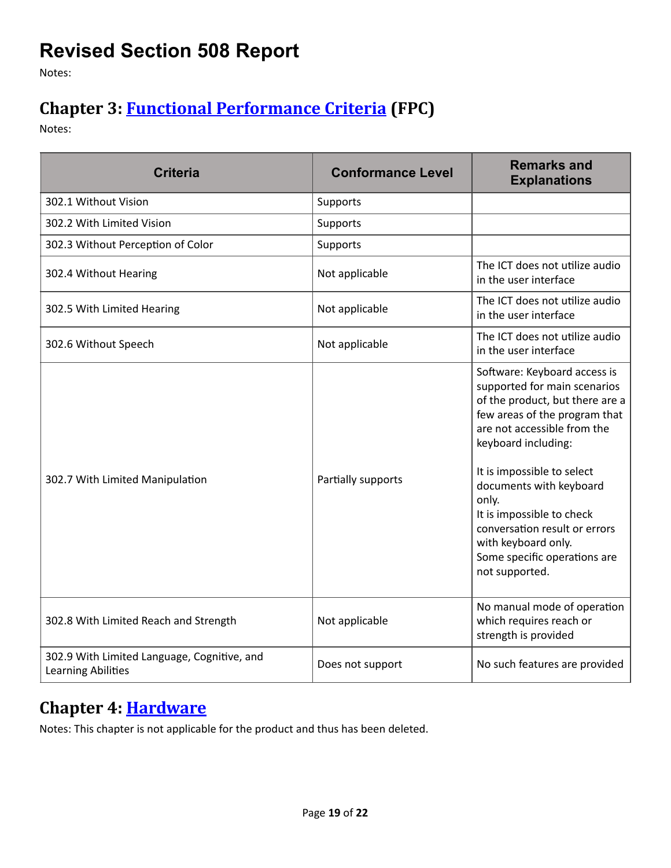## <span id="page-18-0"></span>**Revised Section 508 Report**

Notes:

#### <span id="page-18-1"></span>**Chapter 3: [Functional Performance Criteria](https://www.access-board.gov/guidelines-and-standards/communications-and-it/about-the-ict-refresh/final-rule/text-of-the-standards-and-guidelines#302-functional-performance-criteria) (FPC)**

Notes:

| <b>Criteria</b>                                                   | <b>Conformance Level</b> | <b>Remarks and</b><br><b>Explanations</b>                                                                                                                                                                                                                                                                                                                                                       |
|-------------------------------------------------------------------|--------------------------|-------------------------------------------------------------------------------------------------------------------------------------------------------------------------------------------------------------------------------------------------------------------------------------------------------------------------------------------------------------------------------------------------|
| 302.1 Without Vision                                              | Supports                 |                                                                                                                                                                                                                                                                                                                                                                                                 |
| 302.2 With Limited Vision                                         | Supports                 |                                                                                                                                                                                                                                                                                                                                                                                                 |
| 302.3 Without Perception of Color                                 | Supports                 |                                                                                                                                                                                                                                                                                                                                                                                                 |
| 302.4 Without Hearing                                             | Not applicable           | The ICT does not utilize audio<br>in the user interface                                                                                                                                                                                                                                                                                                                                         |
| 302.5 With Limited Hearing                                        | Not applicable           | The ICT does not utilize audio<br>in the user interface                                                                                                                                                                                                                                                                                                                                         |
| 302.6 Without Speech                                              | Not applicable           | The ICT does not utilize audio<br>in the user interface                                                                                                                                                                                                                                                                                                                                         |
| 302.7 With Limited Manipulation                                   | Partially supports       | Software: Keyboard access is<br>supported for main scenarios<br>of the product, but there are a<br>few areas of the program that<br>are not accessible from the<br>keyboard including:<br>It is impossible to select<br>documents with keyboard<br>only.<br>It is impossible to check<br>conversation result or errors<br>with keyboard only.<br>Some specific operations are<br>not supported. |
| 302.8 With Limited Reach and Strength                             | Not applicable           | No manual mode of operation<br>which requires reach or<br>strength is provided                                                                                                                                                                                                                                                                                                                  |
| 302.9 With Limited Language, Cognitive, and<br>Learning Abilities | Does not support         | No such features are provided                                                                                                                                                                                                                                                                                                                                                                   |

#### <span id="page-18-2"></span>**Chapter 4: Hardware**

Notes: This chapter is not applicable for the product and thus has been deleted.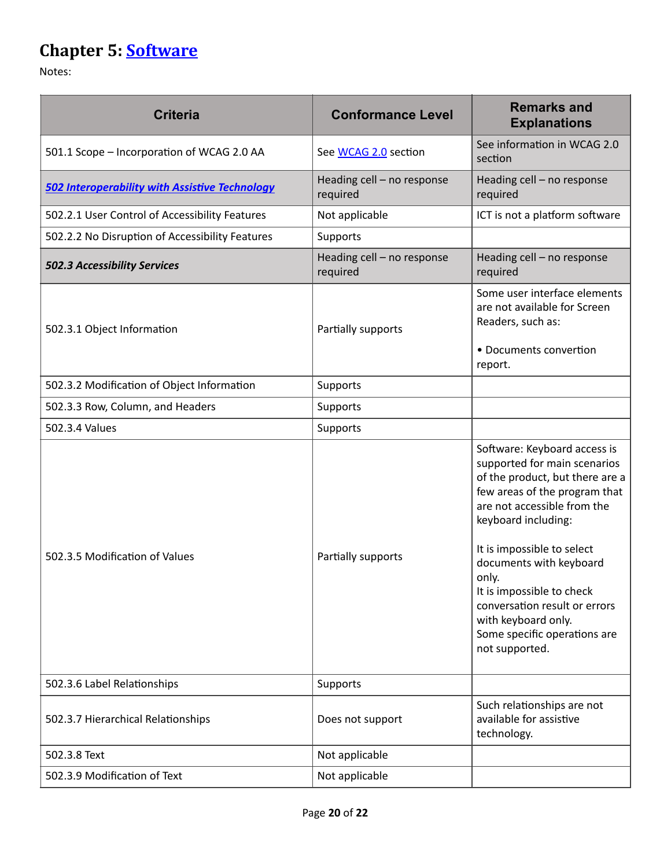## <span id="page-19-0"></span>**Chapter 5: [Software](https://www.access-board.gov/guidelines-and-standards/communications-and-it/about-the-ict-refresh/final-rule/text-of-the-standards-and-guidelines#501-general)**

| <b>Criteria</b>                                       | <b>Conformance Level</b>               | <b>Remarks and</b><br><b>Explanations</b>                                                                                                                                                                                                                                                                                                                                                       |
|-------------------------------------------------------|----------------------------------------|-------------------------------------------------------------------------------------------------------------------------------------------------------------------------------------------------------------------------------------------------------------------------------------------------------------------------------------------------------------------------------------------------|
| 501.1 Scope - Incorporation of WCAG 2.0 AA            | See WCAG 2.0 section                   | See information in WCAG 2.0<br>section                                                                                                                                                                                                                                                                                                                                                          |
| <b>502 Interoperability with Assistive Technology</b> | Heading cell - no response<br>required | Heading cell - no response<br>required                                                                                                                                                                                                                                                                                                                                                          |
| 502.2.1 User Control of Accessibility Features        | Not applicable                         | ICT is not a platform software                                                                                                                                                                                                                                                                                                                                                                  |
| 502.2.2 No Disruption of Accessibility Features       | Supports                               |                                                                                                                                                                                                                                                                                                                                                                                                 |
| 502.3 Accessibility Services                          | Heading cell - no response<br>required | Heading cell - no response<br>required                                                                                                                                                                                                                                                                                                                                                          |
| 502.3.1 Object Information                            | Partially supports                     | Some user interface elements<br>are not available for Screen<br>Readers, such as:<br>• Documents convertion<br>report.                                                                                                                                                                                                                                                                          |
| 502.3.2 Modification of Object Information            | Supports                               |                                                                                                                                                                                                                                                                                                                                                                                                 |
| 502.3.3 Row, Column, and Headers                      | Supports                               |                                                                                                                                                                                                                                                                                                                                                                                                 |
| 502.3.4 Values                                        | Supports                               |                                                                                                                                                                                                                                                                                                                                                                                                 |
| 502.3.5 Modification of Values                        | Partially supports                     | Software: Keyboard access is<br>supported for main scenarios<br>of the product, but there are a<br>few areas of the program that<br>are not accessible from the<br>keyboard including:<br>It is impossible to select<br>documents with keyboard<br>only.<br>It is impossible to check<br>conversation result or errors<br>with keyboard only.<br>Some specific operations are<br>not supported. |
| 502.3.6 Label Relationships                           | Supports                               |                                                                                                                                                                                                                                                                                                                                                                                                 |
| 502.3.7 Hierarchical Relationships                    | Does not support                       | Such relationships are not<br>available for assistive<br>technology.                                                                                                                                                                                                                                                                                                                            |
| 502.3.8 Text                                          | Not applicable                         |                                                                                                                                                                                                                                                                                                                                                                                                 |
| 502.3.9 Modification of Text                          | Not applicable                         |                                                                                                                                                                                                                                                                                                                                                                                                 |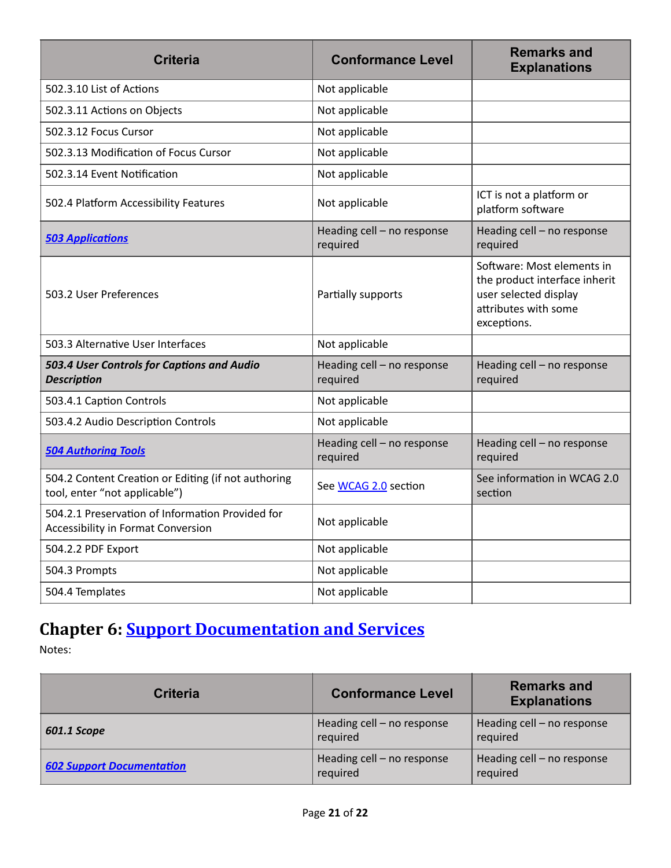| <b>Criteria</b>                                                                               | <b>Conformance Level</b>               | <b>Remarks and</b><br><b>Explanations</b>                                                                                   |
|-----------------------------------------------------------------------------------------------|----------------------------------------|-----------------------------------------------------------------------------------------------------------------------------|
| 502.3.10 List of Actions                                                                      | Not applicable                         |                                                                                                                             |
| 502.3.11 Actions on Objects                                                                   | Not applicable                         |                                                                                                                             |
| 502.3.12 Focus Cursor                                                                         | Not applicable                         |                                                                                                                             |
| 502.3.13 Modification of Focus Cursor                                                         | Not applicable                         |                                                                                                                             |
| 502.3.14 Event Notification                                                                   | Not applicable                         |                                                                                                                             |
| 502.4 Platform Accessibility Features                                                         | Not applicable                         | ICT is not a platform or<br>platform software                                                                               |
| <b>503 Applications</b>                                                                       | Heading cell - no response<br>required | Heading cell - no response<br>required                                                                                      |
| 503.2 User Preferences                                                                        | Partially supports                     | Software: Most elements in<br>the product interface inherit<br>user selected display<br>attributes with some<br>exceptions. |
| 503.3 Alternative User Interfaces                                                             | Not applicable                         |                                                                                                                             |
| 503.4 User Controls for Captions and Audio<br><b>Description</b>                              | Heading cell - no response<br>required | Heading cell - no response<br>required                                                                                      |
| 503.4.1 Caption Controls                                                                      | Not applicable                         |                                                                                                                             |
| 503.4.2 Audio Description Controls                                                            | Not applicable                         |                                                                                                                             |
| <b>504 Authoring Tools</b>                                                                    | Heading cell - no response<br>required | Heading cell - no response<br>required                                                                                      |
| 504.2 Content Creation or Editing (if not authoring<br>tool, enter "not applicable")          | See WCAG 2.0 section                   | See information in WCAG 2.0<br>section                                                                                      |
| 504.2.1 Preservation of Information Provided for<br><b>Accessibility in Format Conversion</b> | Not applicable                         |                                                                                                                             |
| 504.2.2 PDF Export                                                                            | Not applicable                         |                                                                                                                             |
| 504.3 Prompts                                                                                 | Not applicable                         |                                                                                                                             |
| 504.4 Templates                                                                               | Not applicable                         |                                                                                                                             |

#### <span id="page-20-0"></span>**Chapter 6: Support Documentation and Services**

| Criteria                         | <b>Conformance Level</b>               | <b>Remarks and</b><br><b>Explanations</b> |
|----------------------------------|----------------------------------------|-------------------------------------------|
| 601.1 Scope                      | Heading cell - no response<br>required | Heading cell - no response<br>required    |
| <b>602 Support Documentation</b> | Heading cell - no response<br>required | Heading cell - no response<br>required    |